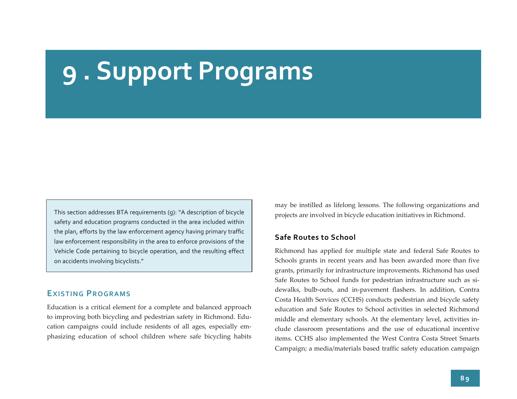# **9 . Support Programs**

This section addresses BTA requirements (g): "A description of bicycle safety and education programs conducted in the area included within the plan, efforts by the law enforcement agency having primary traffic law enforcement responsibility in the area to enforce provisions of the Vehicle Code pertaining to bicycle operation, and the resulting effect on accidents involving bicyclists."

# **EXISTING PROGRAMS**

Education is <sup>a</sup> critical element for <sup>a</sup> complete and balanced approach to improving both bicycling and pedestrian safety in Richmond. Edu‐ cation campaigns could include residents of all ages, especially em‐ phasizing education of school children where safe bicycling habits may be instilled as lifelong lessons. The following organizations and projects are involved in bicycle education initiatives in Richmond.

#### **Safe Routes to School**

Richmond has applied for multiple state and federal Safe Routes to Schools grants in recent years and has been awarded more than five grants, primarily for infrastructure improvements. Richmond has used Safe Routes to School funds for pedestrian infrastructure such as si‐ dewalks, bulb‐outs, and in‐pavemen<sup>t</sup> flashers. In addition, Contra Costa Health Services (CCHS) conducts pedestrian and bicycle safety education and Safe Routes to School activities in selected Richmond middle and elementary schools. At the elementary level, activities in‐ clude classroom presentations and the use of educational incentive items. CCHS also implemented the West Contra Costa Street Smarts Campaign; <sup>a</sup> media/materials based traffic safety education campaign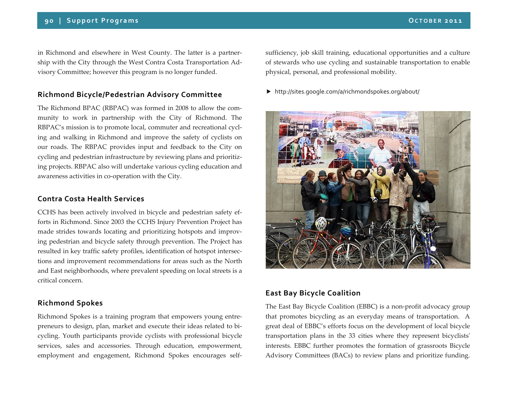in Richmond and elsewhere in West County. The latter is <sup>a</sup> partner‐ ship with the City through the West Contra Costa Transportation Ad‐ visory Committee; however this program is no longer funded.

## **Richmond Bicycle/Pedestrian Advisory Committee**

The Richmond BPAC (RBPAC) was formed in 2008 to allow the com‐ munity to work in partnership with the City of Richmond. The RBPAC's mission is to promote local, commuter and recreational cycl‐ ing and walking in Richmond and improve the safety of cyclists on our roads. The RBPAC provides input and feedback to the City on cycling and pedestrian infrastructure by reviewing plans and prioritizing projects. RBPAC also will undertake various cycling education and awareness activities in co‐operation with the City.

#### **Contra Costa Health Services**

CCHS has been actively involved in bicycle and pedestrian safety ef‐ forts in Richmond. Since 2003 the CCHS Injury Prevention Project has made strides towards locating and prioritizing hotspots and improv‐ ing pedestrian and bicycle safety through prevention. The Project has resulted in key traffic safety profiles, identification of hotspot intersec‐ tions and improvement recommendations for areas such as the North and East neighborhoods, where prevalent speeding on local streets is <sup>a</sup> critical concern.

### **Richmond Spokes**

Richmond Spokes is <sup>a</sup> training program that empowers young entre‐ preneurs to design, plan, market and execute their ideas related to bicycling. Youth participants provide cyclists with professional bicycle services, sales and accessories. Through education, empowerment, employment and engagement, Richmond Spokes encourages selfsufficiency, job skill training, educational opportunities and <sup>a</sup> culture of stewards who use cycling and sustainable transportation to enable physical, personal, and professional mobility.

http://sites.google.com/a/richmondspokes.org/about/



# **East Bay Bicycle Coalition**

The East Bay Bicycle Coalition (EBBC) is <sup>a</sup> non‐profit advocacy group that promotes bicycling as an everyday means of transportation. A grea<sup>t</sup> deal of EBBC's efforts focus on the development of local bicycle transportation plans in the 33 cities where they represen<sup>t</sup> bicyclistsʹ interests. EBBC further promotes the formation of grassroots Bicycle Advisory Committees (BACs) to review plans and prioritize funding.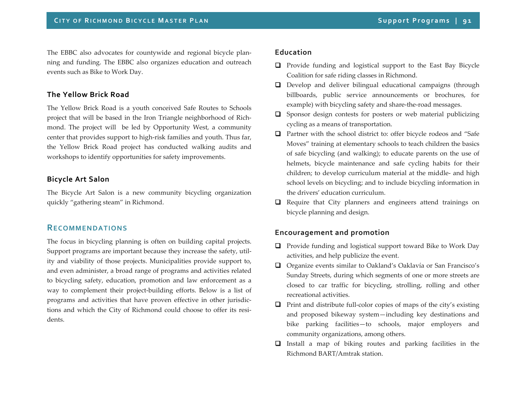The EBBC also advocates for countywide and regional bicycle plan‐ ning and funding. The EBBC also organizes education and outreach events such as Bike to Work Day.

## **The Yellow Brick Road**

The Yellow Brick Road is <sup>a</sup> youth conceived Safe Routes to Schools project that will be based in the Iron Triangle neighborhood of Richmond. The project will be led by Opportunity West, <sup>a</sup> community center that provides suppor<sup>t</sup> to high‐risk families and youth. Thus far, the Yellow Brick Road project has conducted walking audits and workshops to identify opportunities for safety improvements.

# **Bicycle Art Salon**

The Bicycle Art Salon is <sup>a</sup> new community bicycling organization quickly "gathering steam" in Richmond.

# **RECOMMENDATIONS**

The focus in bicycling planning is often on building capital projects. Support programs are important because they increase the safety, utility and viability of those projects. Municipalities provide suppor<sup>t</sup> to, and even administer, <sup>a</sup> broad range of programs and activities related to bicycling safety, education, promotion and law enforcement as <sup>a</sup> way to complement their project-building efforts. Below is a list of programs and activities that have proven effective in other jurisdic‐ tions and which the City of Richmond could choose to offer its resi‐ dents.

### **Education**

- **Q** Provide funding and logistical support to the East Bay Bicycle Coalition for safe riding classes in Richmond.
- **Q** Develop and deliver bilingual educational campaigns (through billboards, public service announcements or brochures, for example) with bicycling safety and share‐the‐road messages.
- $\square$  Sponsor design contests for posters or web material publicizing cycling as <sup>a</sup> means of transportation.
- **Q** Partner with the school district to: offer bicycle rodeos and "Safe Moves" training at elementary schools to teach children the basics of safe bicycling (and walking); to educate parents on the use of helmets, bicycle maintenance and safe cycling habits for their children; to develop curriculum material at the middle‐ and high school levels on bicycling; and to include bicycling information in the drivers' education curriculum.
- **Q** Require that City planners and engineers attend trainings on bicycle planning and design.

# **Encouragement and promotion**

- **Q** Provide funding and logistical support toward Bike to Work Day activities, and help publicize the event.
- Organize events similar to Oakland's Oaklavía or San Francisco's Sunday Streets, during which segments of one or more streets are closed to car traffic for bicycling, strolling, rolling and other recreational activities.
- Print and distribute full-color copies of maps of the city's existing and proposed bikeway system—including key destinations and bike parking facilities—to schools, major employers and community organizations, among others.
- Install <sup>a</sup> map of biking routes and parking facilities in the Richmond BART/Amtrak station.